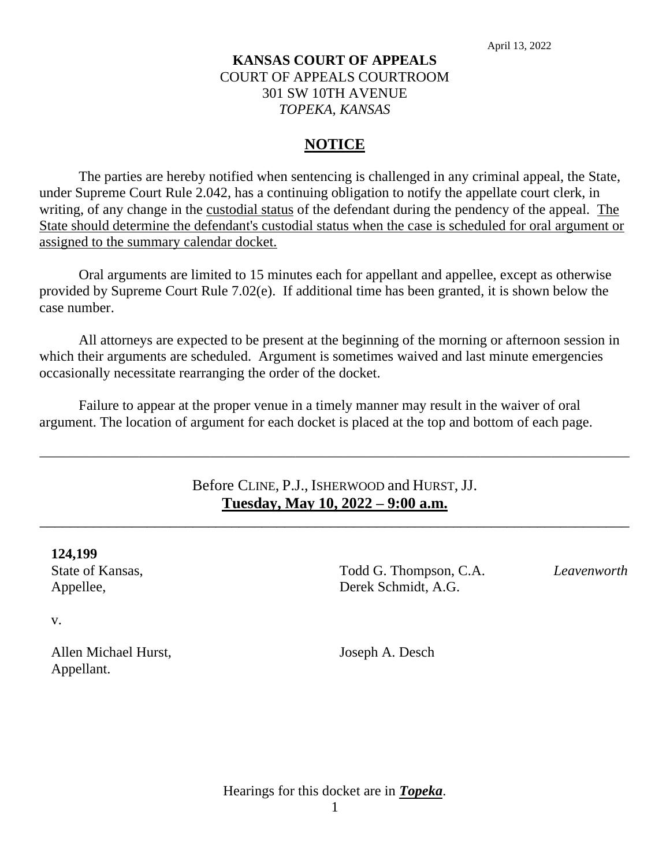### **KANSAS COURT OF APPEALS** COURT OF APPEALS COURTROOM 301 SW 10TH AVENUE *TOPEKA, KANSAS*

### **NOTICE**

The parties are hereby notified when sentencing is challenged in any criminal appeal, the State, under Supreme Court Rule 2.042, has a continuing obligation to notify the appellate court clerk, in writing, of any change in the custodial status of the defendant during the pendency of the appeal. The State should determine the defendant's custodial status when the case is scheduled for oral argument or assigned to the summary calendar docket.

Oral arguments are limited to 15 minutes each for appellant and appellee, except as otherwise provided by Supreme Court Rule 7.02(e). If additional time has been granted, it is shown below the case number.

All attorneys are expected to be present at the beginning of the morning or afternoon session in which their arguments are scheduled. Argument is sometimes waived and last minute emergencies occasionally necessitate rearranging the order of the docket.

Failure to appear at the proper venue in a timely manner may result in the waiver of oral argument. The location of argument for each docket is placed at the top and bottom of each page.

### Before CLINE, P.J., ISHERWOOD and HURST, JJ. **Tuesday, May 10, 2022 – 9:00 a.m.**

\_\_\_\_\_\_\_\_\_\_\_\_\_\_\_\_\_\_\_\_\_\_\_\_\_\_\_\_\_\_\_\_\_\_\_\_\_\_\_\_\_\_\_\_\_\_\_\_\_\_\_\_\_\_\_\_\_\_\_\_\_\_\_\_\_\_\_\_\_\_\_\_\_\_\_\_\_

\_\_\_\_\_\_\_\_\_\_\_\_\_\_\_\_\_\_\_\_\_\_\_\_\_\_\_\_\_\_\_\_\_\_\_\_\_\_\_\_\_\_\_\_\_\_\_\_\_\_\_\_\_\_\_\_\_\_\_\_\_\_\_\_\_\_\_\_\_\_\_\_\_\_\_\_\_\_\_\_\_\_\_

#### **124,199**

State of Kansas, Appellee,

v.

Allen Michael Hurst, Appellant.

Todd G. Thompson, C.A. Derek Schmidt, A.G.

*Leavenworth*

Joseph A. Desch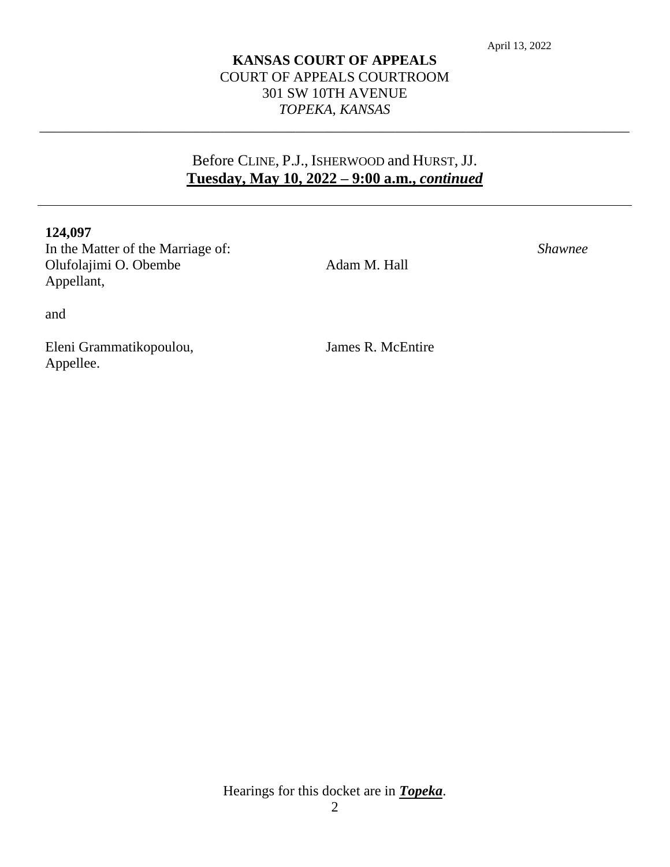### **KANSAS COURT OF APPEALS** COURT OF APPEALS COURTROOM 301 SW 10TH AVENUE *TOPEKA, KANSAS*

\_\_\_\_\_\_\_\_\_\_\_\_\_\_\_\_\_\_\_\_\_\_\_\_\_\_\_\_\_\_\_\_\_\_\_\_\_\_\_\_\_\_\_\_\_\_\_\_\_\_\_\_\_\_\_\_\_\_\_\_\_\_\_\_\_\_\_\_\_\_\_\_\_\_\_\_\_\_\_\_\_\_\_

## Before CLINE, P.J., ISHERWOOD and HURST, JJ. **Tuesday, May 10, 2022 – 9:00 a.m.,** *continued*

#### **124,097**

In the Matter of the Marriage of: Olufolajimi O. Obembe Appellant,

Adam M. Hall

*Shawnee*

and

Eleni Grammatikopoulou, Appellee.

James R. McEntire

Hearings for this docket are in *Topeka*.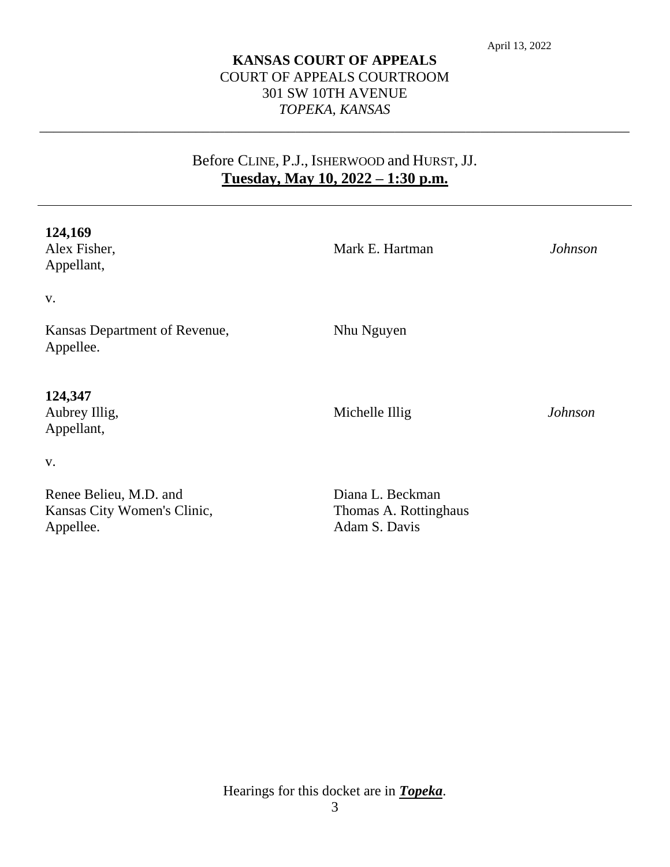### **KANSAS COURT OF APPEALS** COURT OF APPEALS COURTROOM 301 SW 10TH AVENUE *TOPEKA, KANSAS*

\_\_\_\_\_\_\_\_\_\_\_\_\_\_\_\_\_\_\_\_\_\_\_\_\_\_\_\_\_\_\_\_\_\_\_\_\_\_\_\_\_\_\_\_\_\_\_\_\_\_\_\_\_\_\_\_\_\_\_\_\_\_\_\_\_\_\_\_\_\_\_\_\_\_\_\_\_\_\_\_\_\_\_

# Before CLINE, P.J., ISHERWOOD and HURST, JJ. **Tuesday, May 10, 2022 – 1:30 p.m.**

| 124,169<br>Alex Fisher,<br>Appellant,                              | Mark E. Hartman                                            | <b>Johnson</b> |
|--------------------------------------------------------------------|------------------------------------------------------------|----------------|
| V.                                                                 |                                                            |                |
| Kansas Department of Revenue,<br>Appellee.                         | Nhu Nguyen                                                 |                |
| 124,347<br>Aubrey Illig,<br>Appellant,                             | Michelle Illig                                             | <b>Johnson</b> |
| V.                                                                 |                                                            |                |
| Renee Belieu, M.D. and<br>Kansas City Women's Clinic,<br>Appellee. | Diana L. Beckman<br>Thomas A. Rottinghaus<br>Adam S. Davis |                |

Hearings for this docket are in *Topeka*.